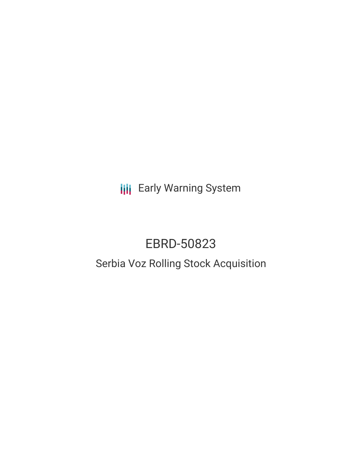**III** Early Warning System

# EBRD-50823

## Serbia Voz Rolling Stock Acquisition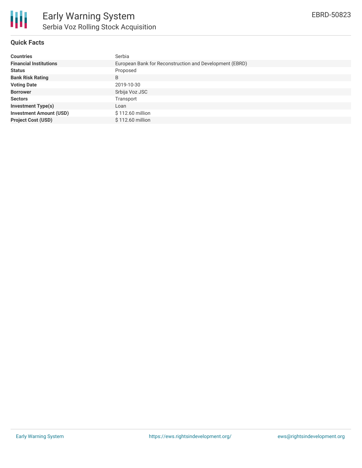

#### **Quick Facts**

| <b>Countries</b>               | Serbia                                                  |
|--------------------------------|---------------------------------------------------------|
| <b>Financial Institutions</b>  | European Bank for Reconstruction and Development (EBRD) |
| <b>Status</b>                  | Proposed                                                |
| <b>Bank Risk Rating</b>        | B                                                       |
| <b>Voting Date</b>             | 2019-10-30                                              |
| <b>Borrower</b>                | Srbija Voz JSC                                          |
| <b>Sectors</b>                 | Transport                                               |
| <b>Investment Type(s)</b>      | Loan                                                    |
| <b>Investment Amount (USD)</b> | \$112.60 million                                        |
| <b>Project Cost (USD)</b>      | \$112.60 million                                        |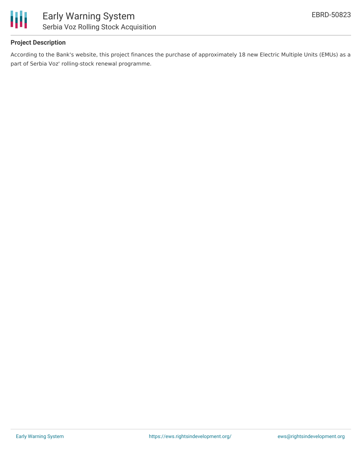

#### **Project Description**

According to the Bank's website, this project finances the purchase of approximately 18 new Electric Multiple Units (EMUs) as a part of Serbia Voz' rolling-stock renewal programme.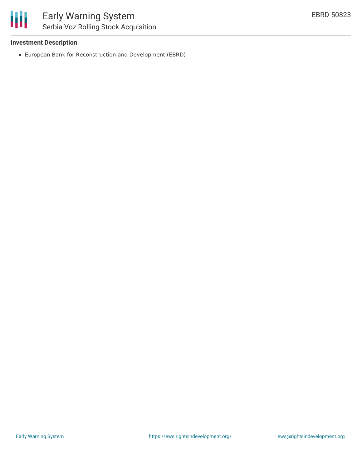#### **Investment Description**

European Bank for Reconstruction and Development (EBRD)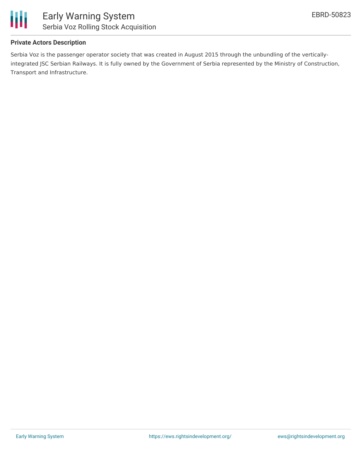

#### **Private Actors Description**

Serbia Voz is the passenger operator society that was created in August 2015 through the unbundling of the verticallyintegrated JSC Serbian Railways. It is fully owned by the Government of Serbia represented by the Ministry of Construction, Transport and Infrastructure.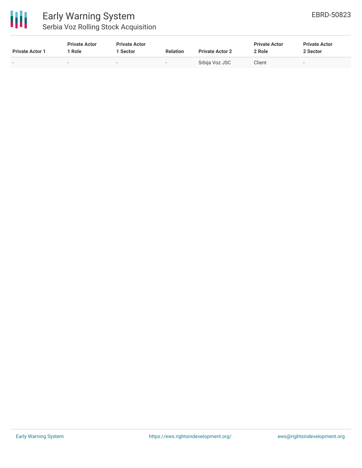

### Early Warning System Serbia Voz Rolling Stock Acquisition

| <b>Private Actor 1</b> | <b>Private Actor</b><br>Role | <b>Private Actor</b><br>1 Sector | <b>Relation</b> | <b>Private Actor 2</b> | <b>Private Actor</b><br>2 Role | <b>Private Actor</b><br>2 Sector |
|------------------------|------------------------------|----------------------------------|-----------------|------------------------|--------------------------------|----------------------------------|
| $\sim$                 | $\overline{\phantom{a}}$     |                                  | $\sim$          | Srbija Voz JSC         | Client                         |                                  |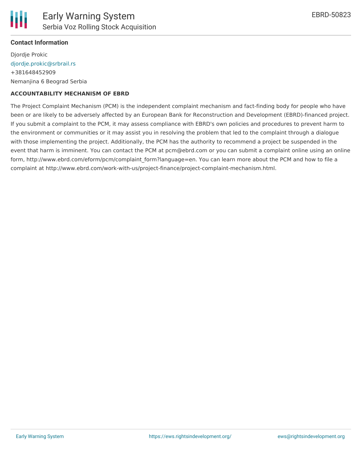

#### **Contact Information**

Djordje Prokic [djordje.prokic@srbrail.rs](mailto:djordje.prokic@srbrail.rs) +381648452909 Nemanjina 6 Beograd Serbia

#### **ACCOUNTABILITY MECHANISM OF EBRD**

The Project Complaint Mechanism (PCM) is the independent complaint mechanism and fact-finding body for people who have been or are likely to be adversely affected by an European Bank for Reconstruction and Development (EBRD)-financed project. If you submit a complaint to the PCM, it may assess compliance with EBRD's own policies and procedures to prevent harm to the environment or communities or it may assist you in resolving the problem that led to the complaint through a dialogue with those implementing the project. Additionally, the PCM has the authority to recommend a project be suspended in the event that harm is imminent. You can contact the PCM at pcm@ebrd.com or you can submit a complaint online using an online form, http://www.ebrd.com/eform/pcm/complaint form?language=en. You can learn more about the PCM and how to file a complaint at http://www.ebrd.com/work-with-us/project-finance/project-complaint-mechanism.html.